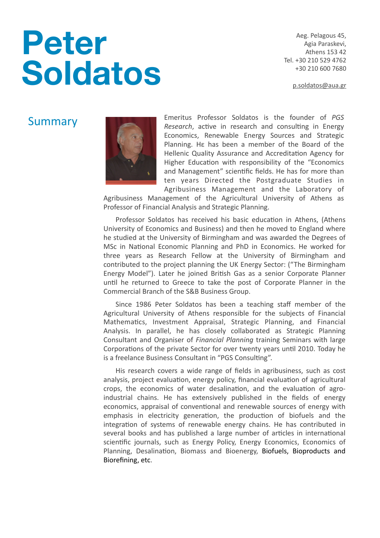# **Peter Soldatos**

Aeg. Pelagous 45, Agia Paraskevi, Athens 153 42 Tel. +30 210 529 4762 +30 210 600 7680 

[p.soldatos@aua.gr](mailto:p.soldatos@aua.gr)

# Summary



Emeritus Professor Soldatos is the founder of *PGS Research*, active in research and consulting in Energy Economics, Renewable Energy Sources and Strategic Planning. He has been a member of the Board of the Hellenic Quality Assurance and Accreditation Agency for Higher Education with responsibility of the "Economics and Management" scientific fields. He has for more than ten years Directed the Postgraduate Studies in Agribusiness Management and the Laboratory of

Agribusiness Management of the Agricultural University of Athens as Professor of Financial Analysis and Strategic Planning.

Professor Soldatos has received his basic education in Athens, (Athens University of Economics and Business) and then he moved to England where he studied at the University of Birmingham and was awarded the Degrees of MSc in National Economic Planning and PhD in Economics. He worked for three years as Research Fellow at the University of Birmingham and contributed to the project planning the UK Energy Sector: ("The Birmingham Energy Model"). Later he joined British Gas as a senior Corporate Planner until he returned to Greece to take the post of Corporate Planner in the Commercial Branch of the S&B Business Group.

Since 1986 Peter Soldatos has been a teaching staff member of the Agricultural University of Athens responsible for the subjects of Financial Mathematics, Investment Appraisal, Strategic Planning, and Financial Analysis. In parallel, he has closely collaborated as Strategic Planning Consultant and Organiser of *Financial Planning* training Seminars with large Corporations of the private Sector for over twenty years until 2010. Today he is a freelance Business Consultant in "PGS Consulting".

His research covers a wide range of fields in agribusiness, such as cost analysis, project evaluation, energy policy, financial evaluation of agricultural crops, the economics of water desalination, and the evaluation of agroindustrial chains. He has extensively published in the fields of energy economics, appraisal of conventional and renewable sources of energy with emphasis in electricity generation, the production of biofuels and the integration of systems of renewable energy chains. He has contributed in several books and has published a large number of articles in international scientific journals, such as Energy Policy, Energy Economics, Economics of Planning, Desalination, Biomass and Bioenergy, Biofuels, Bioproducts and Biorefining, etc.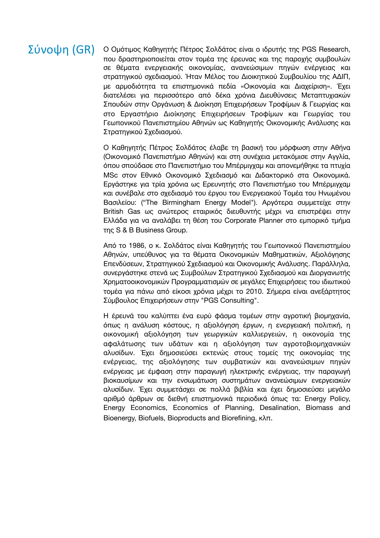# Σύνοψη (GR)

Ο Ομότιμος Kαθηγητής Πέτρος Σολδάτος είναι ο ιδρυτής της PGS Research, που δραστηριοποιείται στον τομέα της έρευνας και της παροχής συμβουλών σε θέματα ενεργειακής οικονομίας, ανανεώσιμων πηγών ενέργειας και στρατηγικού σχεδιασμού. Ήταν Μέλος του Διοικητικού Συμβουλίου της ΑΔΙΠ, με αρμοδιότητα τα επιστημονικά πεδία «Οικονομία και Διαχείριση». Έχει διατελέσει για περισσότερο από δέκα χρόνια Διευθύνσεις Μεταπτυχιακών Σπουδών στην Οργάνωση & Διοίκηση Επιχειρήσεων Τροφίμων & Γεωργίας και στο Εργαστήριο Διοίκησης Επιχειρήσεων Τροφίμων και Γεωργίας του Γεωπονικού Πανεπιστημίου Αθηνών ως Καθηγητής Οικονομικής Ανάλυσης και Στρατηγικού Σχεδιασμού.

Ο Καθηγητής Πέτρος Σολδάτος έλαβε τη βασική του μόρφωση στην Αθήνα (Οικονομικό Πανεπιστήμιο Αθηνών) και στη συνέχεια μετακόμισε στην Αγγλία, όπου σπούδασε στο Πανεπιστήμιο του Μπέρμιγχαμ και απονεμήθηκε τα πτυχία MSc στον Εθνικό Οικονομικό Σχεδιασμό και Διδακτορικό στα Οικονομικά. Εργάστηκε για τρία χρόνια ως Ερευνητής στο Πανεπιστήμιο του Μπέρμιγχαμ και συνέβαλε στο σχεδιασμό του έργου του Ενεργειακού Τομέα του Ηνωμένου Βασιλείου: ("The Birmingham Energy Model"). Αργότερα συμμετείχε στην British Gas ως ανώτερος εταιρικός διευθυντής μέχρι να επιστρέψει στην Ελλάδα για να αναλάβει τη θέση του Corporate Planner στο εμπορικό τμήμα της S & B Business Group.

Από το 1986, ο κ. Σολδάτος είναι Καθηγητής του Γεωπονικού Πανεπιστημίου Αθηνών, υπεύθυνος για τα θέματα Οικονομικών Μαθηματικών, Αξιολόγησης Επενδύσεων, Στρατηγικού Σχεδιασμού και Οικονομικής Ανάλυσης. Παράλληλα, συνεργάστηκε στενά ως Συμβούλων Στρατηγικού Σχεδιασμού και Διοργανωτής Χρηματοοικονομικών Προγραμματισμών σε μεγάλες Επιχειρήσεις του ιδιωτικού τομέα για πάνω από είκοσι χρόνια μέχρι το 2010. Σήμερα είναι ανεξάρτητος Σύμβουλος Επιχειρήσεων στην "PGS Consulting".

Η έρευνά του καλύπτει ένα ευρύ φάσμα τομέων στην αγροτική βιομηχανία, όπως η ανάλυση κόστους, η αξιολόγηση έργων, η ενεργειακή πολιτική, η οικονομική αξιολόγηση των γεωργικών καλλιεργειών, η οικονομία της αφαλάτωσης των υδάτων και η αξιολόγηση των αγροτοβιομηχανικών αλυσίδων. Έχει δημοσιεύσει εκτενώς στους τομείς της οικονομίας της ενέργειας, της αξιολόγησης των συμβατικών και ανανεώσιμων πηγών ενέργειας με έμφαση στην παραγωγή ηλεκτρικής ενέργειας, την παραγωγή βιοκαυσίμων και την ενσωμάτωση συστημάτων ανανεώσιμων ενεργειακών αλυσίδων. Έχει συμμετάσχει σε πολλά βιβλία και έχει δημοσιεύσει μεγάλο αριθμό άρθρων σε διεθνή επιστημονικά περιοδικά όπως τα: Energy Policy, Energy Economics, Economics of Planning, Desalination, Biomass and Bioenergy, Biofuels, Bioproducts and Biorefining, κλπ.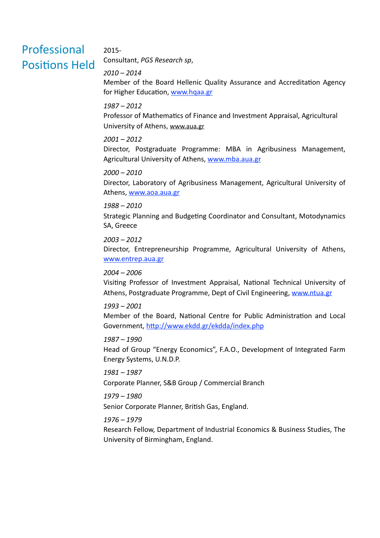# Professional **Positions Held**

# 2015-

Consultant, *PGS Research sp*, 

# *2010 – 2014*

Member of the Board Hellenic Quality Assurance and Accreditation Agency for Higher Education, www.hqaa.gr

# *1987 – 2012*

Professor of Mathematics of Finance and Investment Appraisal, Agricultural University of Athens, [www.aua.gr](http://www.aua.gr)

# *2001 – 2012*

Director, Postgraduate Programme: MBA in Agribusiness Management, Agricultural University of Athens, www.mba.aua.gr

# *2000 – 2010*

Director, Laboratory of Agribusiness Management, Agricultural University of Athens, [www.aoa.aua.gr](http://www.aoa.aua.gr)

# *1988 – 2010*

Strategic Planning and Budgeting Coordinator and Consultant, Motodynamics SA, Greece

# *2003 – 2012*

Director, Entrepreneurship Programme, Agricultural University of Athens, [www.entrep.aua.gr](http://www.entrep.aua.gr) 

# *2004 – 2006*

Visiting Professor of Investment Appraisal, National Technical University of Athens, Postgraduate Programme, Dept of Civil Engineering, [www.ntua.gr](http://www)

# *1993 – 2001*

Member of the Board, National Centre for Public Administration and Local Government, http://www.ekdd.gr/ekdda/index.php

## *1987 – 1990*

Head of Group "Energy Economics", F.A.O., Development of Integrated Farm Energy Systems, U.N.D.P.

#### *1981 – 1987*

Corporate Planner, S&B Group / Commercial Branch

## *1979 – 1980*

Senior Corporate Planner, British Gas, England.

### *1976 – 1979*

Research Fellow, Department of Industrial Economics & Business Studies, The University of Birmingham, England.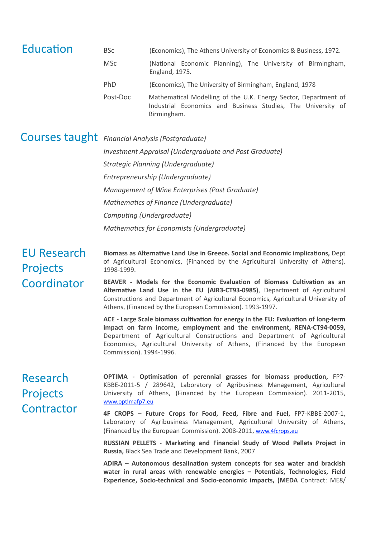| Education                                            | <b>BSc</b>                                                                                                                                                                                                                                                                                                                                                                                                                                                                                                                                                                              | (Economics), The Athens University of Economics & Business, 1972.                                                                                                                                                               |
|------------------------------------------------------|-----------------------------------------------------------------------------------------------------------------------------------------------------------------------------------------------------------------------------------------------------------------------------------------------------------------------------------------------------------------------------------------------------------------------------------------------------------------------------------------------------------------------------------------------------------------------------------------|---------------------------------------------------------------------------------------------------------------------------------------------------------------------------------------------------------------------------------|
|                                                      | <b>MSc</b>                                                                                                                                                                                                                                                                                                                                                                                                                                                                                                                                                                              | (National Economic Planning), The University of Birmingham,<br>England, 1975.                                                                                                                                                   |
|                                                      | PhD                                                                                                                                                                                                                                                                                                                                                                                                                                                                                                                                                                                     | (Economics), The University of Birmingham, England, 1978                                                                                                                                                                        |
|                                                      | Post-Doc                                                                                                                                                                                                                                                                                                                                                                                                                                                                                                                                                                                | Mathematical Modelling of the U.K. Energy Sector, Department of<br>Industrial Economics and Business Studies, The University of<br>Birmingham.                                                                                  |
|                                                      | Courses taught Financial Analysis (Postgraduate)                                                                                                                                                                                                                                                                                                                                                                                                                                                                                                                                        |                                                                                                                                                                                                                                 |
|                                                      | Investment Appraisal (Undergraduate and Post Graduate)                                                                                                                                                                                                                                                                                                                                                                                                                                                                                                                                  |                                                                                                                                                                                                                                 |
|                                                      | Strategic Planning (Undergraduate)                                                                                                                                                                                                                                                                                                                                                                                                                                                                                                                                                      |                                                                                                                                                                                                                                 |
|                                                      |                                                                                                                                                                                                                                                                                                                                                                                                                                                                                                                                                                                         | Entrepreneurship (Undergraduate)                                                                                                                                                                                                |
|                                                      | Management of Wine Enterprises (Post Graduate)                                                                                                                                                                                                                                                                                                                                                                                                                                                                                                                                          |                                                                                                                                                                                                                                 |
|                                                      | Mathematics of Finance (Undergraduate)                                                                                                                                                                                                                                                                                                                                                                                                                                                                                                                                                  |                                                                                                                                                                                                                                 |
|                                                      | Computing (Undergraduate)                                                                                                                                                                                                                                                                                                                                                                                                                                                                                                                                                               |                                                                                                                                                                                                                                 |
|                                                      |                                                                                                                                                                                                                                                                                                                                                                                                                                                                                                                                                                                         | Mathematics for Economists (Undergraduate)                                                                                                                                                                                      |
| <b>EU Research</b><br><b>Projects</b><br>Coordinator | Biomass as Alternative Land Use in Greece. Social and Economic implications, Dept<br>of Agricultural Economics, (Financed by the Agricultural University of Athens).<br>1998-1999.<br>BEAVER - Models for the Economic Evaluation of Biomass Cultivation as an<br>Alternative Land Use in the EU (AIR3-CT93-0985), Department of Agricultural<br>Constructions and Department of Agricultural Economics, Agricultural University of<br>Athens, (Financed by the European Commission). 1993-1997.<br>ACE - Large Scale biomass cultivation for energy in the EU: Evaluation of long-term |                                                                                                                                                                                                                                 |
|                                                      | Commission). 1994-1996.                                                                                                                                                                                                                                                                                                                                                                                                                                                                                                                                                                 | impact on farm income, employment and the environment, RENA-CT94-0059,<br>Department of Agricultural Constructions and Department of Agricultural<br>Economics, Agricultural University of Athens, (Financed by the European    |
| Research<br><b>Projects</b><br>Contractor            | www.optimafp7.eu                                                                                                                                                                                                                                                                                                                                                                                                                                                                                                                                                                        | OPTIMA - Optimisation of perennial grasses for biomass production, FP7-<br>KBBE-2011-5 / 289642, Laboratory of Agribusiness Management, Agricultural<br>University of Athens, (Financed by the European Commission). 2011-2015, |
|                                                      |                                                                                                                                                                                                                                                                                                                                                                                                                                                                                                                                                                                         | 4F CROPS - Future Crops for Food, Feed, Fibre and Fuel, FP7-KBBE-2007-1,<br>Laboratory of Agribusiness Management, Agricultural University of Athens,<br>(Financed by the European Commission). 2008-2011, www.4fcrops.eu       |
|                                                      |                                                                                                                                                                                                                                                                                                                                                                                                                                                                                                                                                                                         | RUSSIAN PELLETS - Marketing and Financial Study of Wood Pellets Project in<br>Russia, Black Sea Trade and Development Bank, 2007                                                                                                |
|                                                      |                                                                                                                                                                                                                                                                                                                                                                                                                                                                                                                                                                                         | ADIRA - Autonomous desalination system concepts for sea water and brackish                                                                                                                                                      |

water in rural areas with renewable energies - Potentials, Technologies, Field **Experience, Socio-technical and Socio-economic impacts, (MEDA** Contract: ME8/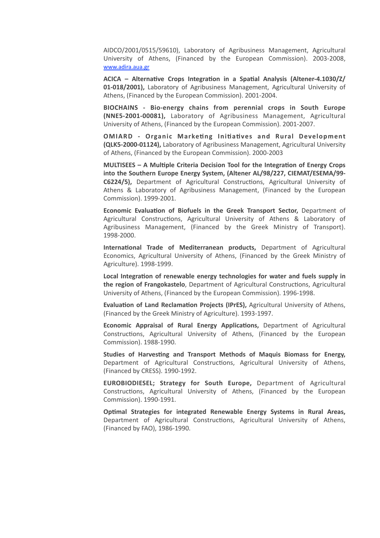AIDCO/2001/0515/59610), Laboratory of Agribusiness Management, Agricultural University of Athens, (Financed by the European Commission). 2003-2008, [www.adira.aua.gr](http://www.adira.aua.gr) 

ACICA – Alternative Crops Integration in a Spatial Analysis (Altener-4.1030/Z/ **01-018/2001),** Laboratory of Agribusiness Management, Agricultural University of Athens, (Financed by the European Commission). 2001-2004.

**BIOCHAINS** - Bio-energy chains from perennial crops in South Europe **(NNE5-2001-00081),** Laboratory of Agribusiness Management, Agricultural University of Athens, (Financed by the European Commission). 2001-2007.

**OMIARD** - Organic Marketing Initiatives and Rural Development **(QLK5-2000-01124),** Laboratory of Agribusiness Management, Agricultural University of Athens, (Financed by the European Commission). 2000-2003

**MULTISEES - A Multiple Criteria Decision Tool for the Integration of Energy Crops** into the Southern Europe Energy System, (Altener AL/98/227, CIEMAT/ESEMA/99-C6224/5), Department of Agricultural Constructions, Agricultural University of Athens & Laboratory of Agribusiness Management, (Financed by the European Commission). 1999-2001.

**Economic Evaluation of Biofuels in the Greek Transport Sector, Department of** Agricultural Constructions, Agricultural University of Athens & Laboratory of Agribusiness Management, (Financed by the Greek Ministry of Transport). 1998-2000.

**International Trade of Mediterranean products, Department of Agricultural** Economics, Agricultural University of Athens, (Financed by the Greek Ministry of Agriculture). 1998-1999.

Local Integration of renewable energy technologies for water and fuels supply in **the region of Frangokastelo**, Department of Agricultural Constructions, Agricultural University of Athens, (Financed by the European Commission). 1996-1998.

**Evaluation of Land Reclamation Projects (IPrES),** Agricultural University of Athens, (Financed by the Greek Ministry of Agriculture). 1993-1997.

**Economic Appraisal of Rural Energy Applications, Department of Agricultural** Constructions, Agricultural University of Athens, (Financed by the European Commission). 1988-1990.

Studies of Harvesting and Transport Methods of Maquis Biomass for Energy, Department of Agricultural Constructions, Agricultural University of Athens, (Financed by CRESS). 1990-1992.

**EUROBIODIESEL; Strategy for South Europe, Department of Agricultural** Constructions, Agricultural University of Athens, (Financed by the European Commission). 1990-1991.

**Optimal Strategies for integrated Renewable Energy Systems in Rural Areas,** Department of Agricultural Constructions, Agricultural University of Athens, (Financed by FAO), 1986-1990.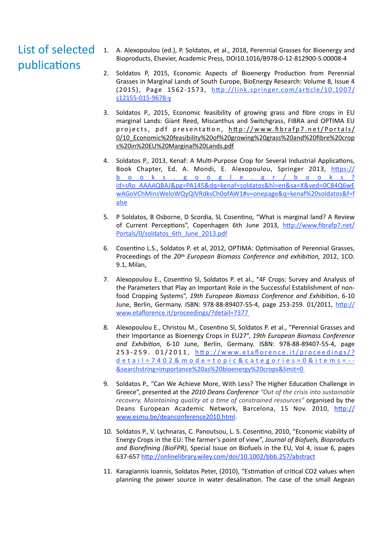# List of selected publications

- 1. A. Alexopoulou (ed.), P. Soldatos, et al., 2018, Perennial Grasses for Bioenergy and Bioproducts, Elsevier, Academic Press, DOI10.1016/B978-0-12-812900-5.00008-4
- 2. Soldatos P, 2015, Economic Aspects of Bioenergy Production from Perennial Grasses in Marginal Lands of South Europe, BioEnergy Research: Volume 8, Issue 4 (2015), Page 1562-1573, http://link.springer.com/article/10.1007/ [s12155-015-9678-y](http://link.springer.com/article/10.1007/s12155-015-9678-y)
- 3. Soldatos P., 2015, Economic feasibility of growing grass and fibre crops in EU marginal Lands: Giant Reed, Miscanthus and Switchgrass, FIBRA and OPTIMA EU projects, pdf presentation, http://www.fibrafp7.net/Portals/ [0/10\\_Economic%20feasibility%20of%20growing%20grass%20and%20fibre%20crop](http://www.fibrafp7.net/Portals/0/10_Economic%20feasibility%20of%20growing%20grass%20and%20fibre%20crops%20in%20EU%20Marginal%20Lands.pdf) [s%20in%20EU%20Marginal%20Lands.pdf](http://www.fibrafp7.net/Portals/0/10_Economic%20feasibility%20of%20growing%20grass%20and%20fibre%20crops%20in%20EU%20Marginal%20Lands.pdf)
- 4. Soldatos P., 2013, Kenaf: A Multi-Purpose Crop for Several Industrial Applications, Book Chapter, Ed. A. Mondi, E. Alexopoulou, Springer 2013, https:// [books.google.gr/books?](https://books.google.gr/books?id=sRo_AAAAQBAJ&pg=PA145&dq=kenaf+soldatos&hl=en&sa=X&ved=0CB4Q6wEwAGoVChMInsWeloWQyQIVRdksCh0ofAW1#v=onepage&q=kenaf%20soldatos&f=false) id=sRo\_AAAAQBAJ&pg=PA145&dq=kenaf+soldatos&hl=en&sa=X&ved=0CB4Q6wE wAGoVChMInsWeloWQyQIVRdksCh0ofAW1#v=onepage&q=kenaf%20soldatos&f=f [alse](https://books.google.gr/books?id=sRo_AAAAQBAJ&pg=PA145&dq=kenaf+soldatos&hl=en&sa=X&ved=0CB4Q6wEwAGoVChMInsWeloWQyQIVRdksCh0ofAW1#v=onepage&q=kenaf%20soldatos&f=false)
- 5. P Soldatos, B Osborne, D Scordia, SL Cosentino, "What is marginal land? A Review of Current Perceptions", Copenhagen 6th June 2013, http://www.fibrafp7.net/ [Portals/0/soldatos\\_6th\\_June\\_2013.pdf](http://www.fibrafp7.net/Portals/0/soldatos_6th_June_2013.pdf)
- 6. Cosentino L.S., Soldatos P. et al, 2012, OPTIMA: Optimisation of Perennial Grasses, Proceedings of the 20th European Biomass Conference and exhibition, 2012, 1CO. 9.1, Milan,
- 7. Alexopoulou E., Cosentino SI, Soldatos P. et al., "4F Crops: Survey and Analysis of the Parameters that Play an Important Role in the Successful Establishment of nonfood Cropping Systems", 19th European Biomass Conference and Exhibition, 6-10 June, Berlin, Germany. ISBN: 978-88-89407-55-4, page 253-259. 01/2011, http:// [www.etaflorence.it/proceedings/?detail=7377](http://www.etaflorence.it/proceedings/?detail=7377)
- 8. Alexopoulou E., Christou M., Cosentino SI, Soldatos P. et al., "Perennial Grasses and their Importance as Bioenergy Crops in EU27", 19th European Biomass Conference and Exhibition, 6-10 June, Berlin, Germany. ISBN: 978-88-89407-55-4, page 253-259. 01/2011, http://www.etaflorence.it/proceedings/? [detail=7402&mode=topic&categories=0&items=--](http://www.etaflorence.it/proceedings/?detail=7402&mode=topic&categories=0&items=--&searchstring=importance%20as%20bioenergy%20crops&limit=0) [&searchstring=importance%20as%20bioenergy%20crops&limit=0](http://www.etaflorence.it/proceedings/?detail=7402&mode=topic&categories=0&items=--&searchstring=importance%20as%20bioenergy%20crops&limit=0)
- 9. Soldatos P., "Can We Achieve More, With Less? The Higher Education Challenge in Greece", presented at the 2010 Deans Conference "Out of the crisis into sustainable recovery. Maintaining quality at a time of constrained resources" organised by the Deans European Academic Network, Barcelona, 15 Nov. 2010, http:// [www.esmu.be/deanconference2010.html](http://www.esmu.be/deanconference2010.html).
- 10. Soldatos P., V. Lychnaras, C. Panoutsou, L. S. Cosentino, 2010, "Economic viability of Energy Crops in the EU: The farmer's point of view", *Journal of Biofuels, Bioproducts and Biorefining (BioFPR)*, Special Issue on Biofuels in the EU, Vol 4, issue 6, pages 637-657 http://onlinelibrary.wiley.com/doi/10.1002/bbb.257/abstract
- 11. Karagiannis Ioannis, Soldatos Peter, (2010), "Estimation of critical CO2 values when planning the power source in water desalination. The case of the small Aegean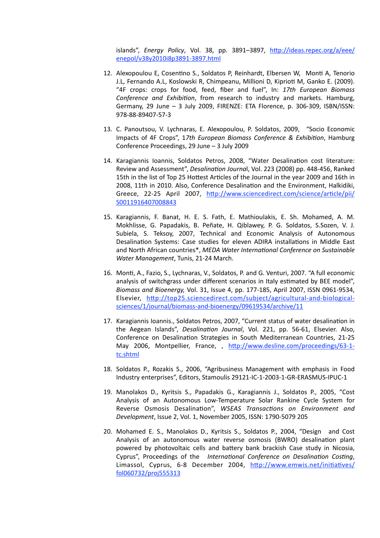islands", *Energy Policy*, Vol. 38, pp. 3891–3897, http://ideas.repec.org/a/eee/ [enepol/v38y2010i8p3891-3897.html](http://ideas.repec.org/a/eee/enepol/v38y2010i8p3891-3897.html)  

- 12. Alexopoulou E, Cosentino S., Soldatos P, Reinhardt, Elbersen W, Monti A, Tenorio J.L, Fernando A.L, Koslowski R, Chimpeanu, Millioni D, Kiprioti M, Ganko E. (2009). "4F crops: crops for food, feed, fiber and fuel", In: 17th European Biomass *Conference and Exhibition*, from research to industry and markets. Hamburg, Germany, 29 June - 3 July 2009, FIRENZE: ETA Florence, p. 306-309, ISBN/ISSN: 978-88-89407-57-3
- 13. C. Panoutsou, V. Lychnaras, E. Alexopoulou, P. Soldatos, 2009, "Socio Economic Impacts of 4F Crops", 17th European Biomass Conference & Exhibition, Hamburg Conference Proceedings, 29 June - 3 July 2009
- 14. Karagiannis Ioannis, Soldatos Petros, 2008, "Water Desalination cost literature: Review and Assessment", *Desalination Journal*, Vol. 223 (2008) pp. 448-456, Ranked 15th in the list of Top 25 Hottest Articles of the Journal in the year 2009 and 16th in 2008, 11th in 2010. Also, Conference Desalination and the Environment, Halkidiki, Greece, 22-25 April 2007, http://www.sciencedirect.com/science/article/pii/ [S0011916407008843](http://www.sciencedirect.com/science/article/pii/S0011916407008843)
- 15. Karagiannis, F. Banat, H. E. S. Fath, E. Mathioulakis, E. Sh. Mohamed, A. M. Mokhlisse, G. Papadakis, B. Peñate, H. Qiblawey, P. G. Soldatos, S.Sozen, V. J. Subiela, S. Teksoy, 2007, Technical and Economic Analysis of Autonomous Desalination Systems: Case studies for eleven ADIRA installations in Middle East and North African countries\*, *MEDA Water International Conference on Sustainable Water Management*, Tunis, 21-24 March.
- 16. Monti, A., Fazio, S., Lychnaras, V., Soldatos, P. and G. Venturi, 2007. "A full economic analysis of switchgrass under different scenarios in Italy estimated by BEE model", *Biomass and Bioenergy,* Vol. 31, Issue 4, pp. 177-185, April 2007, ISSN 0961-9534, Elsevier, http://top25.sciencedirect.com/subject/agricultural-and-biological[sciences/1/journal/biomass-and-bioenergy/09619534/archive/11](http://top25)
- 17. Karagiannis Ioannis., Soldatos Petros, 2007, "Current status of water desalination in the Aegean Islands", *Desalination Journal*, Vol. 221, pp. 56-61, Elsevier. Also, Conference on Desalination Strategies in South Mediterranean Countries, 21-25 May 2006, Montpellier, France, , http://www.desline.com/proceedings/63-1[tc.shtml](http://www.desline.com/proceedings/63-1-tc.shtml)
- 18. Soldatos P., Rozakis S., 2006, "Agribusiness Management with emphasis in Food Industry enterprises", Editors, Stamoulis 29121-IC-1-2003-1-GR-ERASMUS-IPUC-1
- 19. Manolakos D., Kyritsis S., Papadakis G., Karagiannis J., Soldatos P., 2005, "Cost Analysis of an Autonomous Low-Temperature Solar Rankine Cycle System for Reverse Osmosis Desalination", WSEAS Transactions on Environment and *Development*, Issue 2, Vol. 1, November 2005, ISSN: 1790-5079 205
- 20. Mohamed E. S., Manolakos D., Kyritsis S., Soldatos P., 2004, "Design and Cost Analysis of an autonomous water reverse osmosis (BWRO) desalination plant powered by photovoltaic cells and battery bank brackish Case study in Nicosia, Cyprus", Proceedings of the *International Conference on Desalination Costing*, Limassol, Cyprus, 6-8 December 2004, http://www.emwis.net/initiatives/ [fol060732/proj555313](http://www.emwis.net/initiatives/fol060732/proj555313)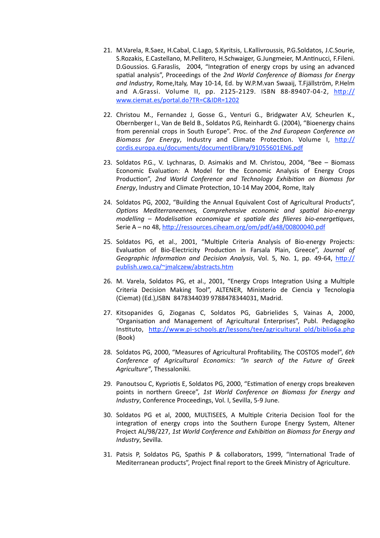- 21. M.Varela, R.Saez, H.Cabal, C.Lago, S.Kyritsis, L.Kallivroussis, P.G.Soldatos, J.C.Sourie, S.Rozakis, E.Castellano, M.Pellitero, H.Schwaiger, G.Jungmeier, M.Antinucci, F.Fileni. D.Goussios. G.Faraslis, 2004, "Integration of energy crops by using an advanced spatial analysis". Proceedings of the 2nd World Conference of Biomass for Energy and Industry, Rome, Italy, May 10-14, Ed. by W.P.M.van Swaaij, T.Fjällström, P.Helm and A.Grassi. Volume II, pp. 2125-2129. ISBN 88-89407-04-2,  $\frac{http://}{http://}$ [www.ciemat.es/portal.do?TR=C&IDR=1202](http://www.ciemat.es/portal.do?TR=C&IDR=1202)
- 22. Christou M., Fernandez J, Gosse G., Venturi G., Bridgwater A.V, Scheurlen K., Obernberger I., Van de Beld B., Soldatos P.G, Reinhardt G. (2004), "Bioenergy chains from perennial crops in South Europe". Proc. of the 2nd European Conference on Biomass for Energy, Industry and Climate Protection. Volume I, http:// [cordis.europa.eu/documents/documentlibrary/91055601EN6.pdf](http://cordis.europa.eu/documents/documentlibrary/91055601EN6.pdf)
- 23. Soldatos P.G., V. Lychnaras, D. Asimakis and M. Christou, 2004, "Bee Biomass Economic Evaluation: A Model for the Economic Analysis of Energy Crops Production", 2nd World Conference and Technology Exhibition on Biomass for *Energy*, Industry and Climate Protection, 10-14 May 2004, Rome, Italy
- 24. Soldatos PG, 2002, "Building the Annual Equivalent Cost of Agricultural Products", *Options Mediterraneennes, Comprehensive economic and spatial bio-energy modelling* – Modelisation economique et spatiale des filieres bio-energetiques, Serie A - no 48, http://ressources.ciheam.org/om/pdf/a48/00800040.pdf
- 25. Soldatos PG, et al., 2001, "Multiple Criteria Analysis of Bio-energy Projects: Evaluation of Bio-Electricity Production in Farsala Plain, Greece", *Journal of Geographic Information and Decision Analysis*, Vol. 5, No. 1, pp. 49-64, http:// [publish.uwo.ca/~jmalczew/abstracts.htm](http://publish.uwo.ca/~jmalczew/abstracts.htm)
- 26. M. Varela, Soldatos PG, et al., 2001, "Energy Crops Integration Using a Multiple Criteria Decision Making Tool", ALTENER, Ministerio de Ciencia y Tecnologia (Ciemat) (Ed.), ISBN 8478344039 9788478344031, Madrid.
- 27. Kitsopanides G, Zioganas C, Soldatos PG, Gabrielides S, Vainas A, 2000, "Organisation and Management of Agricultural Enterprises", Publ. Pedagogiko Instituto, http://www.pi-schools.gr/lessons/tee/agricultural\_old/biblio6a.php (Book)
- 28. Soldatos PG, 2000, "Measures of Agricultural Profitability, The COSTOS model", 6th Conference of Agricultural Economics: "In search of the Future of Greek Agriculture", Thessaloniki.
- 29. Panoutsou C, Kypriotis E, Soldatos PG, 2000, "Estimation of energy crops breakeven points in northern Greece", 1st World Conference on Biomass for Energy and *Industry*, Conference Proceedings, Vol. I, Sevilla, 5-9 June.
- 30. Soldatos PG et al, 2000, MULTISEES, A Multiple Criteria Decision Tool for the integration of energy crops into the Southern Europe Energy System, Altener Project AL/98/227, 1st World Conference and Exhibition on Biomass for Energy and *Industry*, Sevilla.
- 31. Patsis P, Soldatos PG, Spathis P & collaborators, 1999, "International Trade of Mediterranean products", Project final report to the Greek Ministry of Agriculture.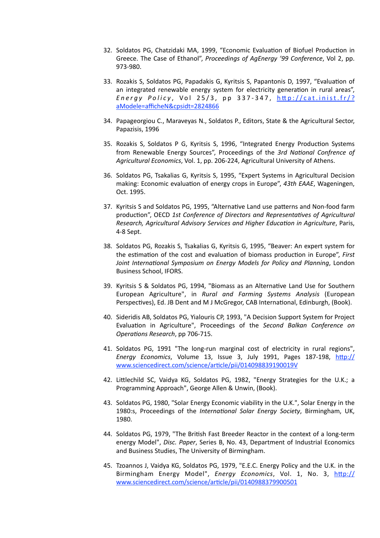- 32. Soldatos PG, Chatzidaki MA, 1999, "Economic Evaluation of Biofuel Production in Greece. The Case of Ethanol", Proceedings of AgEnergy '99 Conference, Vol 2, pp. 973-980.
- 33. Rozakis S, Soldatos PG, Papadakis G, Kyritsis S, Papantonis D, 1997, "Evaluation of an integrated renewable energy system for electricity generation in rural areas", *Energy Policy, Vol 25/3, pp 337-347, http://cat.inist.fr/?* [aModele=afficheN&cpsidt=2824866](http://cat.inist.fr/?aModele=afficheN&cpsidt=2824866)
- 34. Papageorgiou C., Maraveyas N., Soldatos P., Editors, State & the Agricultural Sector, Papazisis, 1996
- 35. Rozakis S, Soldatos P G, Kyritsis S, 1996, "Integrated Energy Production Systems from Renewable Energy Sources", Proceedings of the 3rd National Confrence of Agricultural Economics, Vol. 1, pp. 206-224, Agricultural University of Athens.
- 36. Soldatos PG, Tsakalias G, Kyritsis S, 1995, "Expert Systems in Agricultural Decision making: Economic evaluation of energy crops in Europe", 43th EAAE, Wageningen, Oct. 1995.
- 37. Kyritsis S and Soldatos PG, 1995, "Alternative Land use patterns and Non-food farm production", OECD 1st Conference of Directors and Representatives of Agricultural *Research, Agricultural Advisory Services and Higher Education in Agriculture, Paris,* 4-8 Sept.
- 38. Soldatos PG, Rozakis S, Tsakalias G, Kyritsis G, 1995, "Beaver: An expert system for the estimation of the cost and evaluation of biomass production in Europe", *First Joint International Symposium on Energy Models for Policy and Planning*, London Business School, IFORS.
- 39. Kyritsis S & Soldatos PG, 1994, "Biomass as an Alternative Land Use for Southern European Agriculture", in *Rural and Farming Systems Analysis* (European Perspectives), Ed. JB Dent and M J McGregor, CAB International, Edinburgh, (Book).
- 40. Sideridis AB, Soldatos PG, Yialouris CP, 1993, "A Decision Support System for Project Evaluation in Agriculture", Proceedings of the Second Balkan Conference on *Operations Research, pp 706-715.*
- 41. Soldatos PG, 1991 "The long-run marginal cost of electricity in rural regions", *Energy Economics*, Volume 13, Issue 3, July 1991, Pages 187-198, http:// www.sciencedirect.com/science/article/pii/014098839190019V
- 42. Littlechild SC, Vaidya KG, Soldatos PG, 1982, "Energy Strategies for the U.K.; a Programming Approach", George Allen & Unwin, (Book).
- 43. Soldatos PG, 1980, "Solar Energy Economic viability in the U.K.", Solar Energy in the 1980:s, Proceedings of the *International Solar Energy Society*, Birmingham, UK, 1980.
- 44. Soldatos PG, 1979, "The British Fast Breeder Reactor in the context of a long-term energy Model", *Disc. Paper*, Series B, No. 43, Department of Industrial Economics and Business Studies, The University of Birmingham.
- 45. Tzoannos J, Vaidya KG, Soldatos PG, 1979, "E.E.C. Energy Policy and the U.K. in the Birmingham Energy Model", *Energy Economics*, Vol. 1, No. 3, http:// www.sciencedirect.com/science/article/pii/0140988379900501